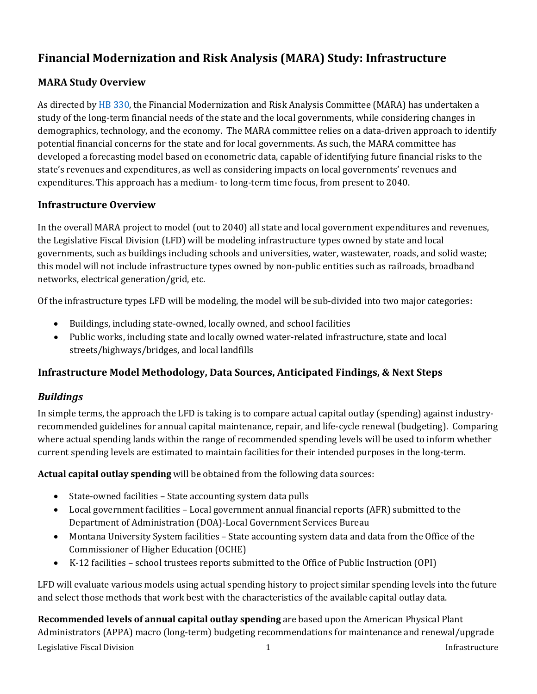# **Financial Modernization and Risk Analysis (MARA) Study: Infrastructure**

# **MARA Study Overview**

As directed b[y HB 330,](https://leg.mt.gov/bills/2021/billpdf/HB0330.pdf) the Financial Modernization and Risk Analysis Committee (MARA) has undertaken a study of the long-term financial needs of the state and the local governments, while considering changes in demographics, technology, and the economy. The MARA committee relies on a data-driven approach to identify potential financial concerns for the state and for local governments. As such, the MARA committee has developed a forecasting model based on econometric data, capable of identifying future financial risks to the state's revenues and expenditures, as well as considering impacts on local governments' revenues and expenditures. This approach has a medium- to long-term time focus, from present to 2040.

## **Infrastructure Overview**

In the overall MARA project to model (out to 2040) all state and local government expenditures and revenues, the Legislative Fiscal Division (LFD) will be modeling infrastructure types owned by state and local governments, such as buildings including schools and universities, water, wastewater, roads, and solid waste; this model will not include infrastructure types owned by non-public entities such as railroads, broadband networks, electrical generation/grid, etc.

Of the infrastructure types LFD will be modeling, the model will be sub-divided into two major categories:

- Buildings, including state-owned, locally owned, and school facilities
- Public works, including state and locally owned water-related infrastructure, state and local streets/highways/bridges, and local landfills

## **Infrastructure Model Methodology, Data Sources, Anticipated Findings, & Next Steps**

## *Buildings*

In simple terms, the approach the LFD is taking is to compare actual capital outlay (spending) against industryrecommended guidelines for annual capital maintenance, repair, and life-cycle renewal (budgeting). Comparing where actual spending lands within the range of recommended spending levels will be used to inform whether current spending levels are estimated to maintain facilities for their intended purposes in the long-term.

**Actual capital outlay spending** will be obtained from the following data sources:

- State-owned facilities State accounting system data pulls
- Local government facilities Local government annual financial reports (AFR) submitted to the Department of Administration (DOA)-Local Government Services Bureau
- Montana University System facilities State accounting system data and data from the Office of the Commissioner of Higher Education (OCHE)
- K-12 facilities school trustees reports submitted to the Office of Public Instruction (OPI)

LFD will evaluate various models using actual spending history to project similar spending levels into the future and select those methods that work best with the characteristics of the available capital outlay data.

Legislative Fiscal Division **1** The settlement of the settlement of the settlement of the settlement of the settlement of the settlement of the settlement of the settlement of the settlement of the settlement of the settle **Recommended levels of annual capital outlay spending** are based upon the American Physical Plant Administrators (APPA) macro (long-term) budgeting recommendations for maintenance and renewal/upgrade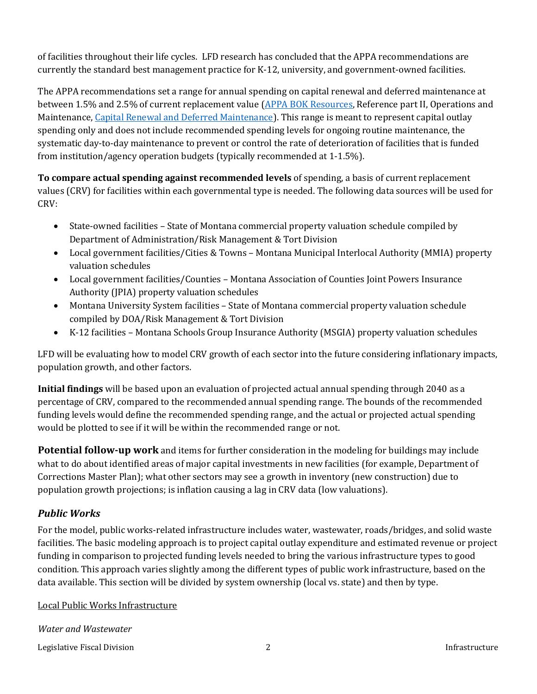of facilities throughout their life cycles. LFD research has concluded that the APPA recommendations are currently the standard best management practice for K-12, university, and government-owned facilities.

The APPA recommendations set a range for annual spending on capital renewal and deferred maintenance at between 1.5% and 2.5% of current replacement value [\(APPA BOK Resources,](https://www.appa.org/bok/) Reference part II, Operations and Maintenance[, Capital Renewal and Deferred Maintenance\)](https://www.appa.org/bok/capital-renewal-and-deferred-maintenance/#cost-of-owning-facilities). This range is meant to represent capital outlay spending only and does not include recommended spending levels for ongoing routine maintenance, the systematic day-to-day maintenance to prevent or control the rate of deterioration of facilities that is funded from institution/agency operation budgets (typically recommended at 1-1.5%).

**To compare actual spending against recommended levels** of spending, a basis of current replacement values (CRV) for facilities within each governmental type is needed. The following data sources will be used for CRV:

- State-owned facilities State of Montana commercial property valuation schedule compiled by Department of Administration/Risk Management & Tort Division
- Local government facilities/Cities & Towns Montana Municipal Interlocal Authority (MMIA) property valuation schedules
- Local government facilities/Counties Montana Association of Counties Joint Powers Insurance Authority (JPIA) property valuation schedules
- Montana University System facilities State of Montana commercial property valuation schedule compiled by DOA/Risk Management & Tort Division
- K-12 facilities Montana Schools Group Insurance Authority (MSGIA) property valuation schedules

LFD will be evaluating how to model CRV growth of each sector into the future considering inflationary impacts, population growth, and other factors.

**Initial findings** will be based upon an evaluation of projected actual annual spending through 2040 as a percentage of CRV, compared to the recommended annual spending range. The bounds of the recommended funding levels would define the recommended spending range, and the actual or projected actual spending would be plotted to see if it will be within the recommended range or not.

**Potential follow-up work** and items for further consideration in the modeling for buildings may include what to do about identified areas of major capital investments in new facilities (for example, Department of Corrections Master Plan); what other sectors may see a growth in inventory (new construction) due to population growth projections; is inflation causing a lag in CRV data (low valuations).

## *Public Works*

For the model, public works-related infrastructure includes water, wastewater, roads/bridges, and solid waste facilities. The basic modeling approach is to project capital outlay expenditure and estimated revenue or project funding in comparison to projected funding levels needed to bring the various infrastructure types to good condition. This approach varies slightly among the different types of public work infrastructure, based on the data available. This section will be divided by system ownership (local vs. state) and then by type.

Local Public Works Infrastructure

*Water and Wastewater*

Legislative Fiscal Division **1986** 2 2 2 Infrastructure **Infrastructure**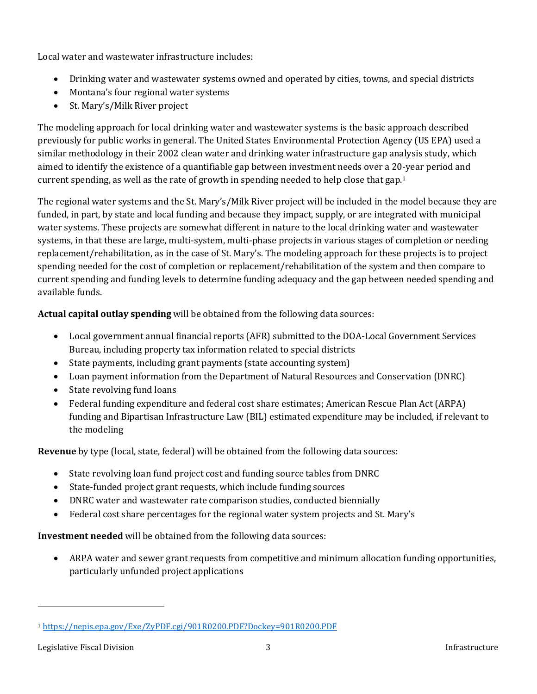Local water and wastewater infrastructure includes:

- Drinking water and wastewater systems owned and operated by cities, towns, and special districts
- Montana's four regional water systems
- St. Mary's/Milk River project

The modeling approach for local drinking water and wastewater systems is the basic approach described previously for public works in general. The United States Environmental Protection Agency (US EPA) used a similar methodology in their 2002 clean water and drinking water infrastructure gap analysis study, which aimed to identify the existence of a quantifiable gap between investment needs over a 20-year period and current spending, as well as the rate of growth in spending needed to help close that gap.[1](#page-2-0)

The regional water systems and the St. Mary's/Milk River project will be included in the model because they are funded, in part, by state and local funding and because they impact, supply, or are integrated with municipal water systems. These projects are somewhat different in nature to the local drinking water and wastewater systems, in that these are large, multi-system, multi-phase projects in various stages of completion or needing replacement/rehabilitation, as in the case of St. Mary's. The modeling approach for these projects is to project spending needed for the cost of completion or replacement/rehabilitation of the system and then compare to current spending and funding levels to determine funding adequacy and the gap between needed spending and available funds.

**Actual capital outlay spending** will be obtained from the following data sources:

- Local government annual financial reports (AFR) submitted to the DOA-Local Government Services Bureau, including property tax information related to special districts
- State payments, including grant payments (state accounting system)
- Loan payment information from the Department of Natural Resources and Conservation (DNRC)
- State revolving fund loans
- Federal funding expenditure and federal cost share estimates; American Rescue Plan Act (ARPA) funding and Bipartisan Infrastructure Law (BIL) estimated expenditure may be included, if relevant to the modeling

**Revenue** by type (local, state, federal) will be obtained from the following data sources:

- State revolving loan fund project cost and funding source tables from DNRC
- State-funded project grant requests, which include funding sources
- DNRC water and wastewater rate comparison studies, conducted biennially
- Federal cost share percentages for the regional water system projects and St. Mary's

**Investment needed** will be obtained from the following data sources:

• ARPA water and sewer grant requests from competitive and minimum allocation funding opportunities, particularly unfunded project applications

<span id="page-2-0"></span><sup>1</sup> <https://nepis.epa.gov/Exe/ZyPDF.cgi/901R0200.PDF?Dockey=901R0200.PDF>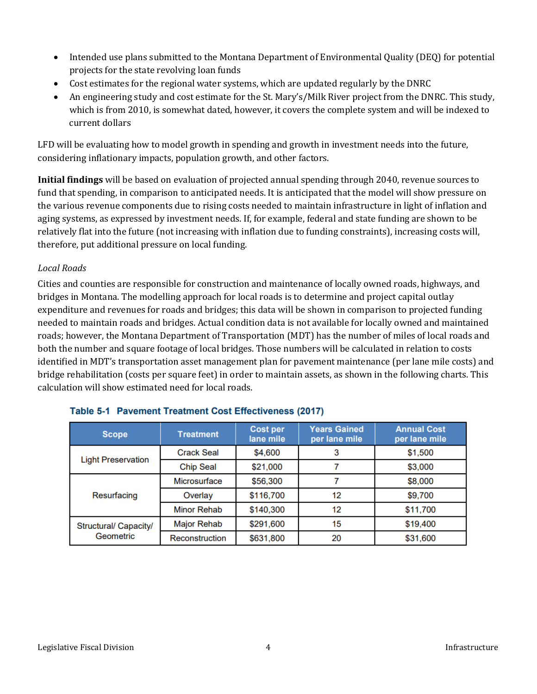- Intended use plans submitted to the Montana Department of Environmental Quality (DEQ) for potential projects for the state revolving loan funds
- Cost estimates for the regional water systems, which are updated regularly by the DNRC
- An engineering study and cost estimate for the St. Mary's/Milk River project from the DNRC. This study, which is from 2010, is somewhat dated, however, it covers the complete system and will be indexed to current dollars

LFD will be evaluating how to model growth in spending and growth in investment needs into the future, considering inflationary impacts, population growth, and other factors.

**Initial findings** will be based on evaluation of projected annual spending through 2040, revenue sources to fund that spending, in comparison to anticipated needs. It is anticipated that the model will show pressure on the various revenue components due to rising costs needed to maintain infrastructure in light of inflation and aging systems, as expressed by investment needs. If, for example, federal and state funding are shown to be relatively flat into the future (not increasing with inflation due to funding constraints), increasing costs will, therefore, put additional pressure on local funding.

#### *Local Roads*

Cities and counties are responsible for construction and maintenance of locally owned roads, highways, and bridges in Montana. The modelling approach for local roads is to determine and project capital outlay expenditure and revenues for roads and bridges; this data will be shown in comparison to projected funding needed to maintain roads and bridges. Actual condition data is not available for locally owned and maintained roads; however, the Montana Department of Transportation (MDT) has the number of miles of local roads and both the number and square footage of local bridges. Those numbers will be calculated in relation to costs identified in MDT's transportation asset management plan for pavement maintenance (per lane mile costs) and bridge rehabilitation (costs per square feet) in order to maintain assets, as shown in the following charts. This calculation will show estimated need for local roads.

| <b>Scope</b>                       | <b>Treatment</b>   | Cost per<br>lane mile | <b>Years Gained</b><br>per lane mile | <b>Annual Cost</b><br>per lane mile |
|------------------------------------|--------------------|-----------------------|--------------------------------------|-------------------------------------|
| <b>Light Preservation</b>          | <b>Crack Seal</b>  | \$4,600               | 3                                    | \$1,500                             |
|                                    | <b>Chip Seal</b>   | \$21,000              |                                      | \$3,000                             |
| Resurfacing                        | Microsurface       | \$56,300              |                                      | \$8,000                             |
|                                    | Overlay            | \$116,700             | 12                                   | \$9,700                             |
|                                    | <b>Minor Rehab</b> | \$140,300             | 12                                   | \$11,700                            |
| Structural/ Capacity/<br>Geometric | Major Rehab        | \$291,600             | 15                                   | \$19,400                            |
|                                    | Reconstruction     | \$631,800             | 20                                   | \$31,600                            |

### Table 5-1 Pavement Treatment Cost Effectiveness (2017)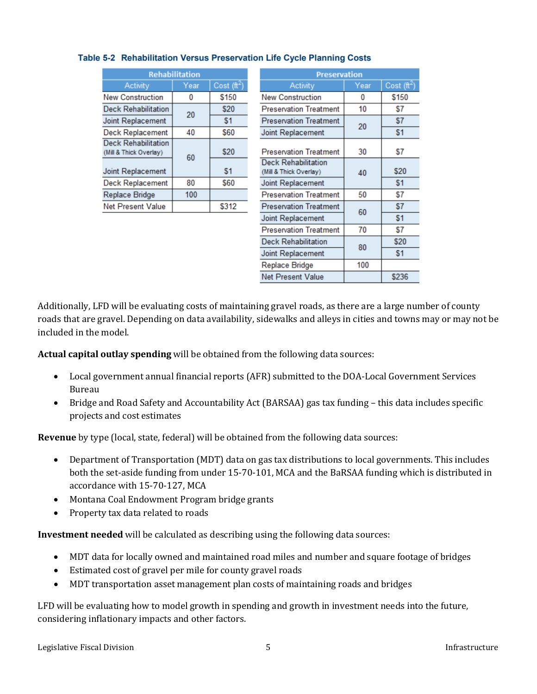| <b>Rehabilitation</b>                                |      |                      |  |  |  |
|------------------------------------------------------|------|----------------------|--|--|--|
| <b>Activity</b>                                      | Year | Cost $(\hat{\pi}^2)$ |  |  |  |
| <b>New Construction</b>                              | 0    | \$150                |  |  |  |
| <b>Deck Rehabilitation</b>                           | 20   | \$20                 |  |  |  |
| Joint Replacement                                    |      | \$1                  |  |  |  |
| <b>Deck Replacement</b>                              | 40   | \$60                 |  |  |  |
| <b>Deck Rehabilitation</b><br>(Mill & Thick Overlay) | 60   | \$20                 |  |  |  |
| Joint Replacement                                    |      | \$1                  |  |  |  |
| <b>Deck Replacement</b>                              | 80   | \$60                 |  |  |  |
| <b>Replace Bridge</b>                                | 100  |                      |  |  |  |
| <b>Net Present Value</b>                             |      | \$312                |  |  |  |
|                                                      |      |                      |  |  |  |

### Table 5-2 Rehabilitation Versus Preservation Life Cycle Planning Costs

| <b>Preservation</b>                                  |      |                         |  |  |  |
|------------------------------------------------------|------|-------------------------|--|--|--|
| Activity                                             | Year | Cost (ft <sup>2</sup> ) |  |  |  |
| <b>New Construction</b>                              | 0    | \$150                   |  |  |  |
| <b>Preservation Treatment</b>                        | 10   | \$7                     |  |  |  |
| <b>Preservation Treatment</b>                        | 20   | \$7                     |  |  |  |
| Joint Replacement                                    |      | \$1                     |  |  |  |
| <b>Preservation Treatment</b>                        | 30   | \$7                     |  |  |  |
| <b>Deck Rehabilitation</b><br>(Mill & Thick Overlay) | 40   | \$20                    |  |  |  |
| Joint Replacement                                    |      | \$1                     |  |  |  |
| <b>Preservation Treatment</b>                        | 50   | \$7                     |  |  |  |
| <b>Preservation Treatment</b>                        | 60   | \$7                     |  |  |  |
| Joint Replacement                                    |      | \$1                     |  |  |  |
| <b>Preservation Treatment</b>                        | 70   | \$7                     |  |  |  |
| <b>Deck Rehabilitation</b>                           | 80   | \$20                    |  |  |  |
| Joint Replacement                                    |      | \$1                     |  |  |  |
| Replace Bridge                                       | 100  |                         |  |  |  |
| <b>Net Present Value</b>                             |      | \$236                   |  |  |  |

Additionally, LFD will be evaluating costs of maintaining gravel roads, as there are a large number of county roads that are gravel. Depending on data availability, sidewalks and alleys in cities and towns may or may not be included in the model.

**Actual capital outlay spending** will be obtained from the following data sources:

- Local government annual financial reports (AFR) submitted to the DOA-Local Government Services Bureau
- Bridge and Road Safety and Accountability Act (BARSAA) gas tax funding this data includes specific projects and cost estimates

**Revenue** by type (local, state, federal) will be obtained from the following data sources:

- Department of Transportation (MDT) data on gas tax distributions to local governments. This includes both the set-aside funding from under 15-70-101, MCA and the BaRSAA funding which is distributed in accordance with 15-70-127, MCA
- Montana Coal Endowment Program bridge grants
- Property tax data related to roads

**Investment needed** will be calculated as describing using the following data sources:

- MDT data for locally owned and maintained road miles and number and square footage of bridges
- Estimated cost of gravel per mile for county gravel roads
- MDT transportation asset management plan costs of maintaining roads and bridges

LFD will be evaluating how to model growth in spending and growth in investment needs into the future, considering inflationary impacts and other factors.